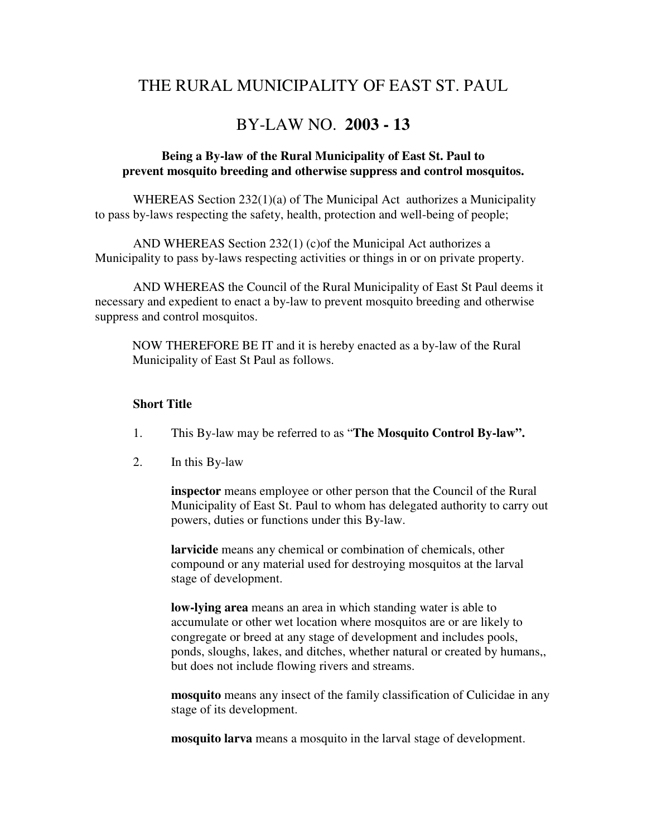# THE RURAL MUNICIPALITY OF EAST ST. PAUL

## BY-LAW NO. **2003 - 13**

## **Being a By-law of the Rural Municipality of East St. Paul to prevent mosquito breeding and otherwise suppress and control mosquitos.**

 WHEREAS Section 232(1)(a) of The Municipal Act authorizes a Municipality to pass by-laws respecting the safety, health, protection and well-being of people;

 AND WHEREAS Section 232(1) (c)of the Municipal Act authorizes a Municipality to pass by-laws respecting activities or things in or on private property.

 AND WHEREAS the Council of the Rural Municipality of East St Paul deems it necessary and expedient to enact a by-law to prevent mosquito breeding and otherwise suppress and control mosquitos.

NOW THEREFORE BE IT and it is hereby enacted as a by-law of the Rural Municipality of East St Paul as follows.

#### **Short Title**

- 1. This By-law may be referred to as "**The Mosquito Control By-law".**
- 2. In this By-law

**inspector** means employee or other person that the Council of the Rural Municipality of East St. Paul to whom has delegated authority to carry out powers, duties or functions under this By-law.

**larvicide** means any chemical or combination of chemicals, other compound or any material used for destroying mosquitos at the larval stage of development.

 **low-lying area** means an area in which standing water is able to accumulate or other wet location where mosquitos are or are likely to congregate or breed at any stage of development and includes pools, ponds, sloughs, lakes, and ditches, whether natural or created by humans,, but does not include flowing rivers and streams.

**mosquito** means any insect of the family classification of Culicidae in any stage of its development.

**mosquito larva** means a mosquito in the larval stage of development.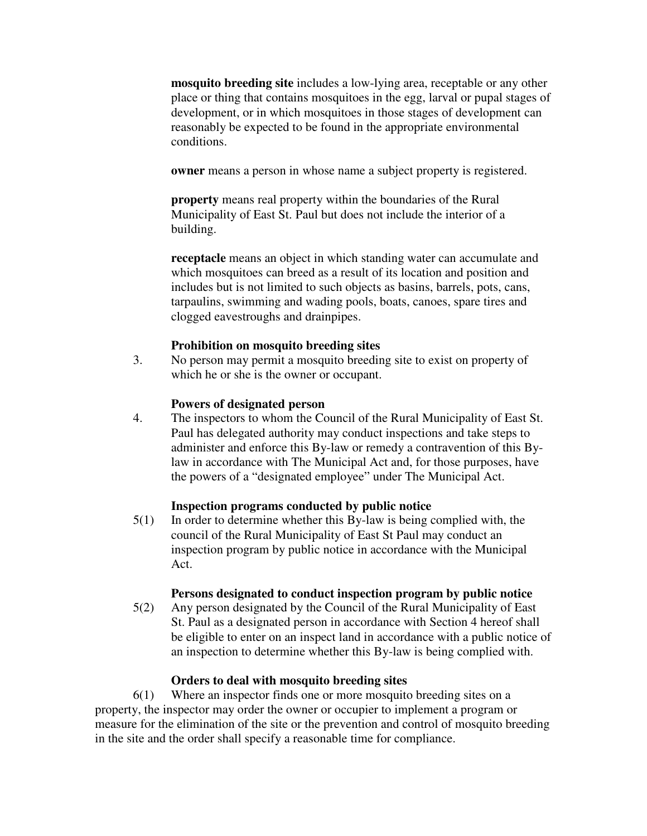**mosquito breeding site** includes a low-lying area, receptable or any other place or thing that contains mosquitoes in the egg, larval or pupal stages of development, or in which mosquitoes in those stages of development can reasonably be expected to be found in the appropriate environmental conditions.

**owner** means a person in whose name a subject property is registered.

**property** means real property within the boundaries of the Rural Municipality of East St. Paul but does not include the interior of a building.

**receptacle** means an object in which standing water can accumulate and which mosquitoes can breed as a result of its location and position and includes but is not limited to such objects as basins, barrels, pots, cans, tarpaulins, swimming and wading pools, boats, canoes, spare tires and clogged eavestroughs and drainpipes.

## **Prohibition on mosquito breeding sites**

3. No person may permit a mosquito breeding site to exist on property of which he or she is the owner or occupant.

#### **Powers of designated person**

4. The inspectors to whom the Council of the Rural Municipality of East St. Paul has delegated authority may conduct inspections and take steps to administer and enforce this By-law or remedy a contravention of this Bylaw in accordance with The Municipal Act and, for those purposes, have the powers of a "designated employee" under The Municipal Act.

## **Inspection programs conducted by public notice**

5(1) In order to determine whether this By-law is being complied with, the council of the Rural Municipality of East St Paul may conduct an inspection program by public notice in accordance with the Municipal Act.

#### **Persons designated to conduct inspection program by public notice**

5(2) Any person designated by the Council of the Rural Municipality of East St. Paul as a designated person in accordance with Section 4 hereof shall be eligible to enter on an inspect land in accordance with a public notice of an inspection to determine whether this By-law is being complied with.

## **Orders to deal with mosquito breeding sites**

6(1) Where an inspector finds one or more mosquito breeding sites on a property, the inspector may order the owner or occupier to implement a program or measure for the elimination of the site or the prevention and control of mosquito breeding in the site and the order shall specify a reasonable time for compliance.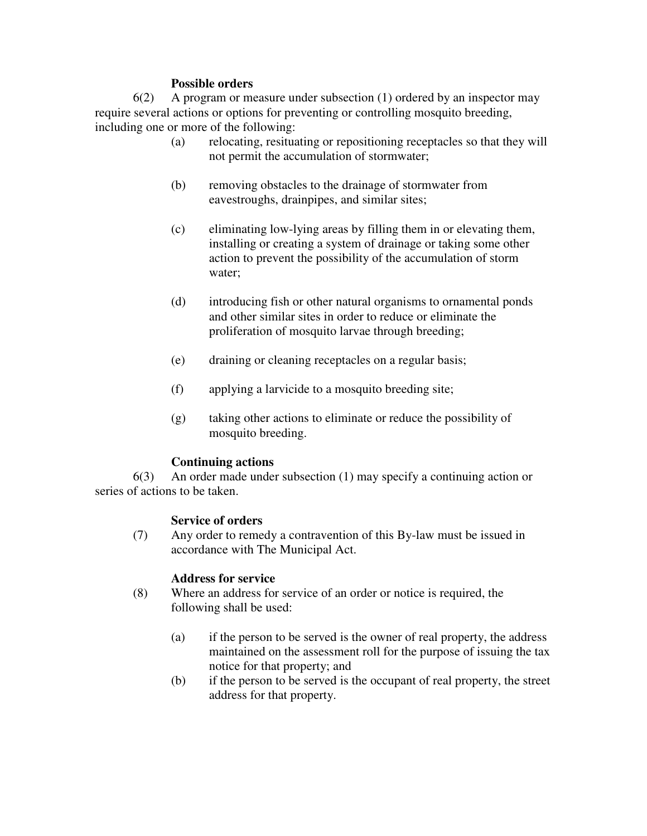## **Possible orders**

6(2) A program or measure under subsection (1) ordered by an inspector may require several actions or options for preventing or controlling mosquito breeding, including one or more of the following:

- (a) relocating, resituating or repositioning receptacles so that they will not permit the accumulation of stormwater;
- (b) removing obstacles to the drainage of stormwater from eavestroughs, drainpipes, and similar sites;
- (c) eliminating low-lying areas by filling them in or elevating them, installing or creating a system of drainage or taking some other action to prevent the possibility of the accumulation of storm water;
- (d) introducing fish or other natural organisms to ornamental ponds and other similar sites in order to reduce or eliminate the proliferation of mosquito larvae through breeding;
- (e) draining or cleaning receptacles on a regular basis;
- (f) applying a larvicide to a mosquito breeding site;
- (g) taking other actions to eliminate or reduce the possibility of mosquito breeding.

## **Continuing actions**

 6(3) An order made under subsection (1) may specify a continuing action or series of actions to be taken.

## **Service of orders**

(7) Any order to remedy a contravention of this By-law must be issued in accordance with The Municipal Act.

## **Address for service**

- (8) Where an address for service of an order or notice is required, the following shall be used:
	- (a) if the person to be served is the owner of real property, the address maintained on the assessment roll for the purpose of issuing the tax notice for that property; and
	- (b) if the person to be served is the occupant of real property, the street address for that property.